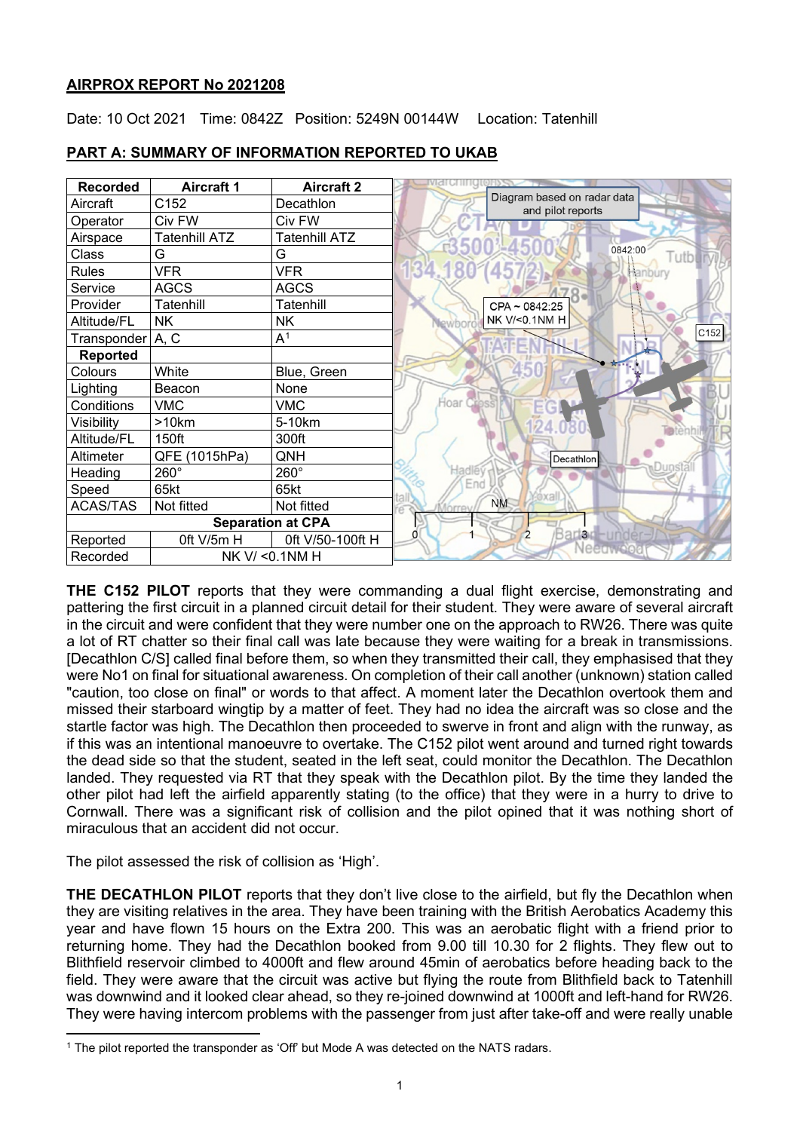# **AIRPROX REPORT No 2021208**

Date: 10 Oct 2021 Time: 0842Z Position: 5249N 00144W Location: Tatenhill

| <b>Recorded</b>             | <b>Aircraft 1</b>    | <b>Aircraft 2</b> | <b>Marchingtonysy</b>                            |
|-----------------------------|----------------------|-------------------|--------------------------------------------------|
| Aircraft                    | C152                 | Decathlon         | Diagram based on radar data<br>and pilot reports |
| Operator                    | Civ FW               | Civ FW            |                                                  |
| Airspace                    | <b>Tatenhill ATZ</b> | Tatenhill ATZ     |                                                  |
| Class                       | G                    | G                 | 0842:00<br>Tutbu                                 |
| <b>Rules</b>                | <b>VFR</b>           | <b>VFR</b>        | 34.180                                           |
| Service                     | <b>AGCS</b>          | <b>AGCS</b>       |                                                  |
| Provider                    | Tatenhill            | Tatenhill         | CPA ~ 0842:25                                    |
| Altitude/FL                 | <b>NK</b>            | <b>NK</b>         | NK V/<0.1NM H                                    |
| Transponder A, C            |                      | A <sup>1</sup>    | C152                                             |
| Reported                    |                      |                   |                                                  |
| Colours                     | White                | Blue, Green       |                                                  |
| Lighting                    | Beacon               | None              |                                                  |
| Conditions                  | <b>VMC</b>           | <b>VMC</b>        | Hoar                                             |
| Visibility                  | >10km                | 5-10km            |                                                  |
| Altitude/FL                 | 150ft                | 300ft             |                                                  |
| Altimeter                   | QFE (1015hPa)        | QNH               | Decathlon                                        |
| Heading                     | 260°                 | 260°              | adlev                                            |
| Speed                       | 65kt                 | 65kt              | End                                              |
| <b>ACAS/TAS</b>             | Not fitted           | Not fitted        | <b>NM</b>                                        |
| <b>Separation at CPA</b>    |                      |                   |                                                  |
| Reported                    | Oft V/5m H           | 0ft V/50-100ft H  | Barlar-under-<br><b>Neeuwood</b>                 |
| NK V/ < 0.1NM H<br>Recorded |                      |                   |                                                  |

# **PART A: SUMMARY OF INFORMATION REPORTED TO UKAB**

**THE C152 PILOT** reports that they were commanding a dual flight exercise, demonstrating and pattering the first circuit in a planned circuit detail for their student. They were aware of several aircraft in the circuit and were confident that they were number one on the approach to RW26. There was quite a lot of RT chatter so their final call was late because they were waiting for a break in transmissions. [Decathlon C/S] called final before them, so when they transmitted their call, they emphasised that they were No1 on final for situational awareness. On completion of their call another (unknown) station called "caution, too close on final" or words to that affect. A moment later the Decathlon overtook them and missed their starboard wingtip by a matter of feet. They had no idea the aircraft was so close and the startle factor was high. The Decathlon then proceeded to swerve in front and align with the runway, as if this was an intentional manoeuvre to overtake. The C152 pilot went around and turned right towards the dead side so that the student, seated in the left seat, could monitor the Decathlon. The Decathlon landed. They requested via RT that they speak with the Decathlon pilot. By the time they landed the other pilot had left the airfield apparently stating (to the office) that they were in a hurry to drive to Cornwall. There was a significant risk of collision and the pilot opined that it was nothing short of miraculous that an accident did not occur.

The pilot assessed the risk of collision as 'High'.

**THE DECATHLON PILOT** reports that they don't live close to the airfield, but fly the Decathlon when they are visiting relatives in the area. They have been training with the British Aerobatics Academy this year and have flown 15 hours on the Extra 200. This was an aerobatic flight with a friend prior to returning home. They had the Decathlon booked from 9.00 till 10.30 for 2 flights. They flew out to Blithfield reservoir climbed to 4000ft and flew around 45min of aerobatics before heading back to the field. They were aware that the circuit was active but flying the route from Blithfield back to Tatenhill was downwind and it looked clear ahead, so they re-joined downwind at 1000ft and left-hand for RW26. They were having intercom problems with the passenger from just after take-off and were really unable

<span id="page-0-0"></span><sup>1</sup> The pilot reported the transponder as 'Off' but Mode A was detected on the NATS radars.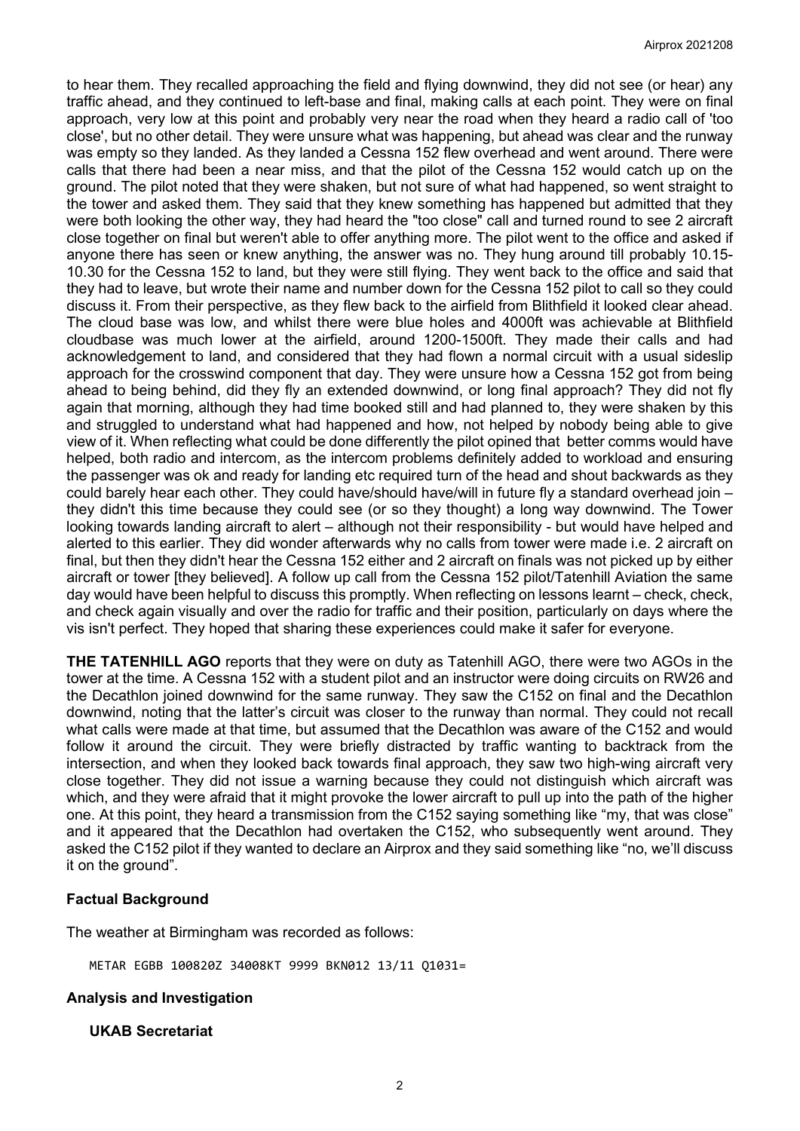to hear them. They recalled approaching the field and flying downwind, they did not see (or hear) any traffic ahead, and they continued to left-base and final, making calls at each point. They were on final approach, very low at this point and probably very near the road when they heard a radio call of 'too close', but no other detail. They were unsure what was happening, but ahead was clear and the runway was empty so they landed. As they landed a Cessna 152 flew overhead and went around. There were calls that there had been a near miss, and that the pilot of the Cessna 152 would catch up on the ground. The pilot noted that they were shaken, but not sure of what had happened, so went straight to the tower and asked them. They said that they knew something has happened but admitted that they were both looking the other way, they had heard the "too close" call and turned round to see 2 aircraft close together on final but weren't able to offer anything more. The pilot went to the office and asked if anyone there has seen or knew anything, the answer was no. They hung around till probably 10.15- 10.30 for the Cessna 152 to land, but they were still flying. They went back to the office and said that they had to leave, but wrote their name and number down for the Cessna 152 pilot to call so they could discuss it. From their perspective, as they flew back to the airfield from Blithfield it looked clear ahead. The cloud base was low, and whilst there were blue holes and 4000ft was achievable at Blithfield cloudbase was much lower at the airfield, around 1200-1500ft. They made their calls and had acknowledgement to land, and considered that they had flown a normal circuit with a usual sideslip approach for the crosswind component that day. They were unsure how a Cessna 152 got from being ahead to being behind, did they fly an extended downwind, or long final approach? They did not fly again that morning, although they had time booked still and had planned to, they were shaken by this and struggled to understand what had happened and how, not helped by nobody being able to give view of it. When reflecting what could be done differently the pilot opined that better comms would have helped, both radio and intercom, as the intercom problems definitely added to workload and ensuring the passenger was ok and ready for landing etc required turn of the head and shout backwards as they could barely hear each other. They could have/should have/will in future fly a standard overhead join – they didn't this time because they could see (or so they thought) a long way downwind. The Tower looking towards landing aircraft to alert – although not their responsibility - but would have helped and alerted to this earlier. They did wonder afterwards why no calls from tower were made i.e. 2 aircraft on final, but then they didn't hear the Cessna 152 either and 2 aircraft on finals was not picked up by either aircraft or tower [they believed]. A follow up call from the Cessna 152 pilot/Tatenhill Aviation the same day would have been helpful to discuss this promptly. When reflecting on lessons learnt – check, check, and check again visually and over the radio for traffic and their position, particularly on days where the vis isn't perfect. They hoped that sharing these experiences could make it safer for everyone.

**THE TATENHILL AGO** reports that they were on duty as Tatenhill AGO, there were two AGOs in the tower at the time. A Cessna 152 with a student pilot and an instructor were doing circuits on RW26 and the Decathlon joined downwind for the same runway. They saw the C152 on final and the Decathlon downwind, noting that the latter's circuit was closer to the runway than normal. They could not recall what calls were made at that time, but assumed that the Decathlon was aware of the C152 and would follow it around the circuit. They were briefly distracted by traffic wanting to backtrack from the intersection, and when they looked back towards final approach, they saw two high-wing aircraft very close together. They did not issue a warning because they could not distinguish which aircraft was which, and they were afraid that it might provoke the lower aircraft to pull up into the path of the higher one. At this point, they heard a transmission from the C152 saying something like "my, that was close" and it appeared that the Decathlon had overtaken the C152, who subsequently went around. They asked the C152 pilot if they wanted to declare an Airprox and they said something like "no, we'll discuss it on the ground".

# **Factual Background**

The weather at Birmingham was recorded as follows:

METAR EGBB 100820Z 34008KT 9999 BKN012 13/11 Q1031=

### **Analysis and Investigation**

### **UKAB Secretariat**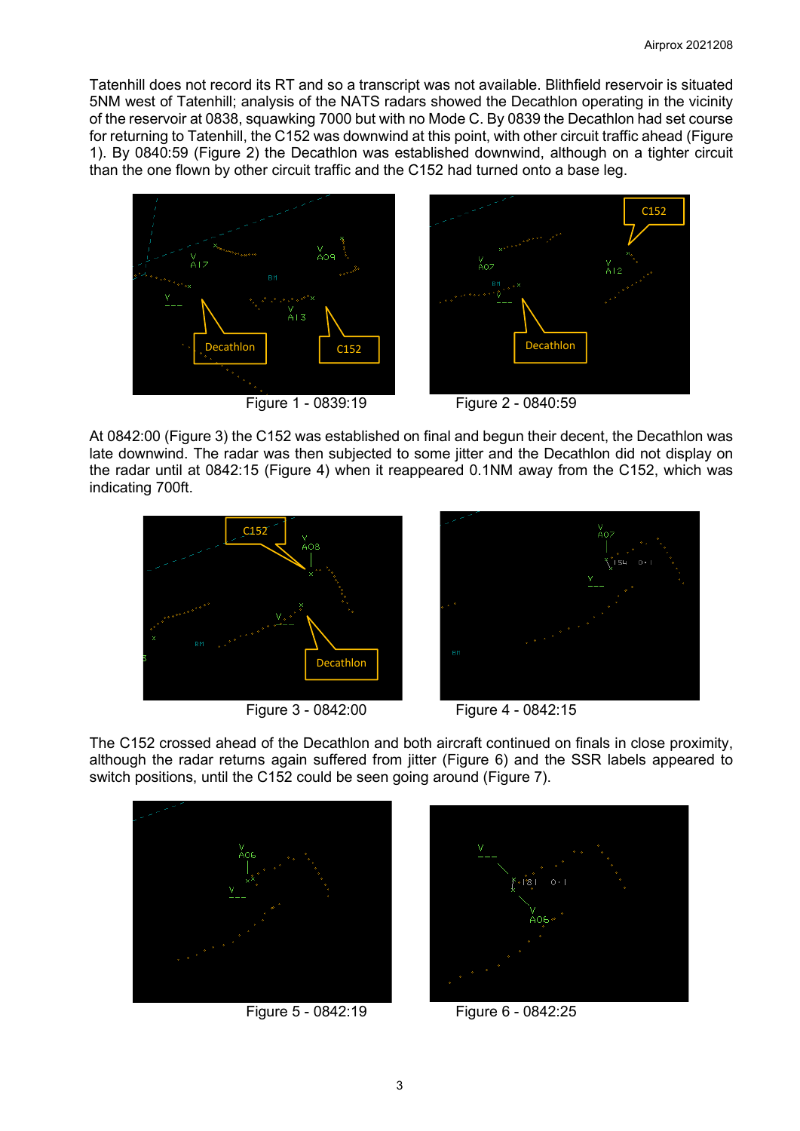Tatenhill does not record its RT and so a transcript was not available. Blithfield reservoir is situated 5NM west of Tatenhill; analysis of the NATS radars showed the Decathlon operating in the vicinity of the reservoir at 0838, squawking 7000 but with no Mode C. By 0839 the Decathlon had set course for returning to Tatenhill, the C152 was downwind at this point, with other circuit traffic ahead (Figure 1). By 0840:59 (Figure 2) the Decathlon was established downwind, although on a tighter circuit than the one flown by other circuit traffic and the C152 had turned onto a base leg.





At 0842:00 (Figure 3) the C152 was established on final and begun their decent, the Decathlon was late downwind. The radar was then subjected to some jitter and the Decathlon did not display on the radar until at 0842:15 (Figure 4) when it reappeared 0.1NM away from the C152, which was indicating 700ft.







The C152 crossed ahead of the Decathlon and both aircraft continued on finals in close proximity, although the radar returns again suffered from jitter (Figure 6) and the SSR labels appeared to switch positions, until the C152 could be seen going around (Figure 7).





Figure 5 - 0842:19 Figure 6 - 0842:25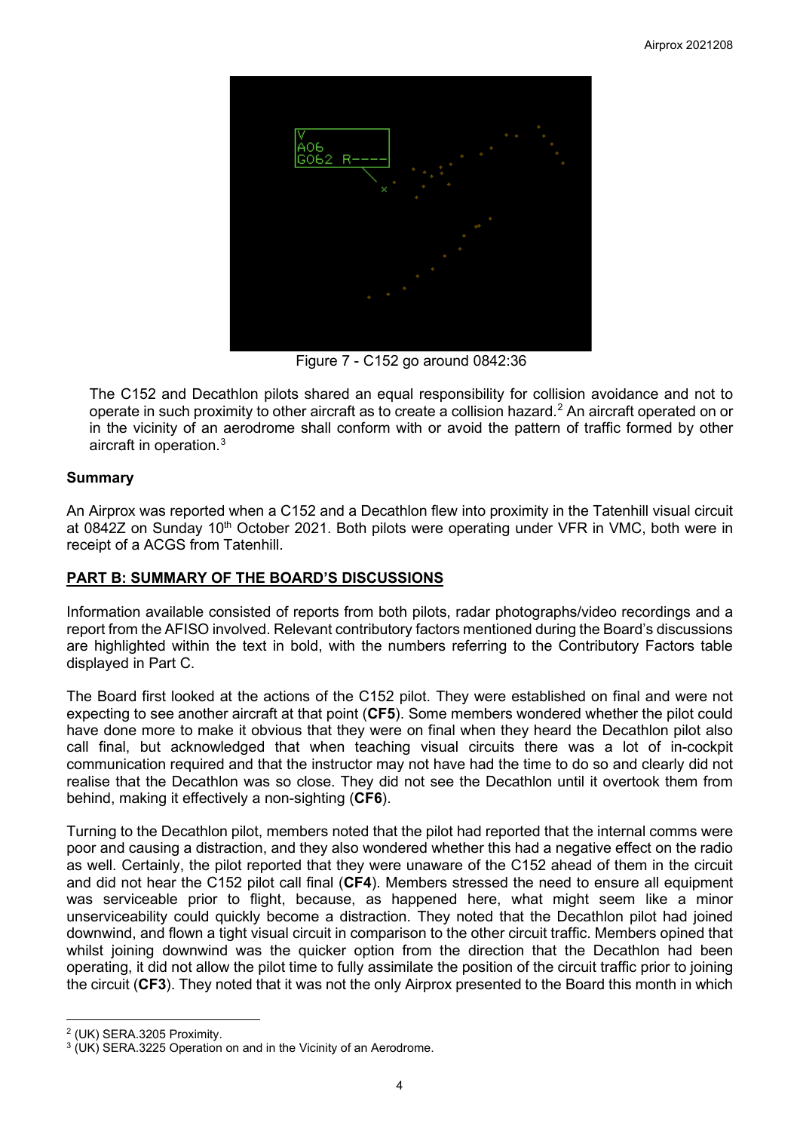

Figure 7 - C152 go around 0842:36

The C152 and Decathlon pilots shared an equal responsibility for collision avoidance and not to operate in such proximity to other aircraft as to create a collision hazard. [2](#page-3-0) An aircraft operated on or in the vicinity of an aerodrome shall conform with or avoid the pattern of traffic formed by other aircraft in operation. $^3$  $^3$ 

# **Summary**

An Airprox was reported when a C152 and a Decathlon flew into proximity in the Tatenhill visual circuit at 0842Z on Sunday 10<sup>th</sup> October 2021. Both pilots were operating under VFR in VMC, both were in receipt of a ACGS from Tatenhill.

# **PART B: SUMMARY OF THE BOARD'S DISCUSSIONS**

Information available consisted of reports from both pilots, radar photographs/video recordings and a report from the AFISO involved. Relevant contributory factors mentioned during the Board's discussions are highlighted within the text in bold, with the numbers referring to the Contributory Factors table displayed in Part C.

The Board first looked at the actions of the C152 pilot. They were established on final and were not expecting to see another aircraft at that point (**CF5**). Some members wondered whether the pilot could have done more to make it obvious that they were on final when they heard the Decathlon pilot also call final, but acknowledged that when teaching visual circuits there was a lot of in-cockpit communication required and that the instructor may not have had the time to do so and clearly did not realise that the Decathlon was so close. They did not see the Decathlon until it overtook them from behind, making it effectively a non-sighting (**CF6**).

Turning to the Decathlon pilot, members noted that the pilot had reported that the internal comms were poor and causing a distraction, and they also wondered whether this had a negative effect on the radio as well. Certainly, the pilot reported that they were unaware of the C152 ahead of them in the circuit and did not hear the C152 pilot call final (**CF4**). Members stressed the need to ensure all equipment was serviceable prior to flight, because, as happened here, what might seem like a minor unserviceability could quickly become a distraction. They noted that the Decathlon pilot had joined downwind, and flown a tight visual circuit in comparison to the other circuit traffic. Members opined that whilst joining downwind was the quicker option from the direction that the Decathlon had been operating, it did not allow the pilot time to fully assimilate the position of the circuit traffic prior to joining the circuit (**CF3**). They noted that it was not the only Airprox presented to the Board this month in which

<span id="page-3-0"></span><sup>2</sup> (UK) SERA.3205 Proximity.

<span id="page-3-1"></span> $3$  (UK) SERA.3225 Operation on and in the Vicinity of an Aerodrome.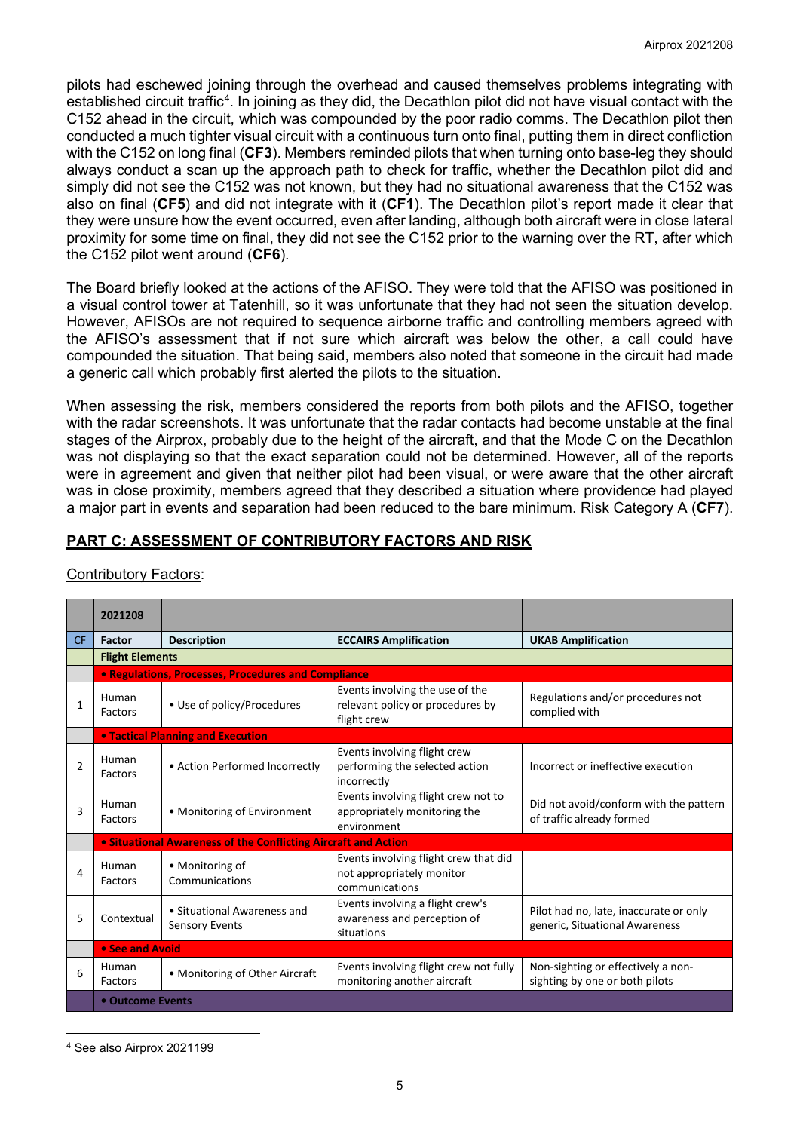pilots had eschewed joining through the overhead and caused themselves problems integrating with established circuit traffic $^4$  $^4$ . In joining as they did, the Decathlon pilot did not have visual contact with the C152 ahead in the circuit, which was compounded by the poor radio comms. The Decathlon pilot then conducted a much tighter visual circuit with a continuous turn onto final, putting them in direct confliction with the C152 on long final (**CF3**). Members reminded pilots that when turning onto base-leg they should always conduct a scan up the approach path to check for traffic, whether the Decathlon pilot did and simply did not see the C152 was not known, but they had no situational awareness that the C152 was also on final (**CF5**) and did not integrate with it (**CF1**). The Decathlon pilot's report made it clear that they were unsure how the event occurred, even after landing, although both aircraft were in close lateral proximity for some time on final, they did not see the C152 prior to the warning over the RT, after which the C152 pilot went around (**CF6**).

The Board briefly looked at the actions of the AFISO. They were told that the AFISO was positioned in a visual control tower at Tatenhill, so it was unfortunate that they had not seen the situation develop. However, AFISOs are not required to sequence airborne traffic and controlling members agreed with the AFISO's assessment that if not sure which aircraft was below the other, a call could have compounded the situation. That being said, members also noted that someone in the circuit had made a generic call which probably first alerted the pilots to the situation.

When assessing the risk, members considered the reports from both pilots and the AFISO, together with the radar screenshots. It was unfortunate that the radar contacts had become unstable at the final stages of the Airprox, probably due to the height of the aircraft, and that the Mode C on the Decathlon was not displaying so that the exact separation could not be determined. However, all of the reports were in agreement and given that neither pilot had been visual, or were aware that the other aircraft was in close proximity, members agreed that they described a situation where providence had played a major part in events and separation had been reduced to the bare minimum. Risk Category A (**CF7**).

# **PART C: ASSESSMENT OF CONTRIBUTORY FACTORS AND RISK**

|                | 2021208                                                            |                                                                       |                                                                                      |                                                                          |  |  |  |  |  |
|----------------|--------------------------------------------------------------------|-----------------------------------------------------------------------|--------------------------------------------------------------------------------------|--------------------------------------------------------------------------|--|--|--|--|--|
| <b>CF</b>      | <b>Factor</b>                                                      | <b>Description</b>                                                    | <b>ECCAIRS Amplification</b>                                                         | <b>UKAB Amplification</b>                                                |  |  |  |  |  |
|                |                                                                    | <b>Flight Elements</b>                                                |                                                                                      |                                                                          |  |  |  |  |  |
|                |                                                                    | <b>• Regulations, Processes, Procedures and Compliance</b>            |                                                                                      |                                                                          |  |  |  |  |  |
| 1              | Human<br>Factors                                                   | • Use of policy/Procedures                                            | Events involving the use of the<br>relevant policy or procedures by<br>flight crew   | Regulations and/or procedures not<br>complied with                       |  |  |  |  |  |
|                |                                                                    | <b>• Tactical Planning and Execution</b>                              |                                                                                      |                                                                          |  |  |  |  |  |
| $\overline{2}$ | Human<br>Factors                                                   | • Action Performed Incorrectly                                        | Events involving flight crew<br>performing the selected action<br>incorrectly        | Incorrect or ineffective execution                                       |  |  |  |  |  |
| 3              | Human<br>Factors                                                   | • Monitoring of Environment                                           | Events involving flight crew not to<br>appropriately monitoring the<br>environment   | Did not avoid/conform with the pattern<br>of traffic already formed      |  |  |  |  |  |
|                |                                                                    | <b>.</b> Situational Awareness of the Conflicting Aircraft and Action |                                                                                      |                                                                          |  |  |  |  |  |
| 4              | Human<br>Factors                                                   | • Monitoring of<br>Communications                                     | Events involving flight crew that did<br>not appropriately monitor<br>communications |                                                                          |  |  |  |  |  |
| 5              | • Situational Awareness and<br>Contextual<br><b>Sensory Events</b> |                                                                       | Events involving a flight crew's<br>awareness and perception of<br>situations        | Pilot had no, late, inaccurate or only<br>generic, Situational Awareness |  |  |  |  |  |
|                | • See and Avoid                                                    |                                                                       |                                                                                      |                                                                          |  |  |  |  |  |
| 6              | Human<br>Factors                                                   | • Monitoring of Other Aircraft                                        | Events involving flight crew not fully<br>monitoring another aircraft                | Non-sighting or effectively a non-<br>sighting by one or both pilots     |  |  |  |  |  |
|                | • Outcome Events                                                   |                                                                       |                                                                                      |                                                                          |  |  |  |  |  |

# Contributory Factors:

<span id="page-4-0"></span><sup>4</sup> See also Airprox 2021199